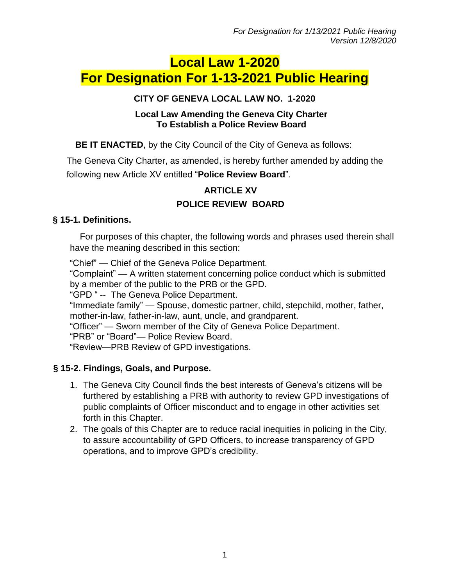# **Local Law 1-2020 For Designation For 1-13-2021 Public Hearing**

#### **CITY OF GENEVA LOCAL LAW NO. 1-2020**

#### **Local Law Amending the Geneva City Charter To Establish a Police Review Board**

**BE IT ENACTED**, by the City Council of the City of Geneva as follows:

The Geneva City Charter, as amended, is hereby further amended by adding the following new Article XV entitled "**Police Review Board**".

# **ARTICLE XV POLICE REVIEW BOARD**

# **§ 15-1. Definitions.**

For purposes of this chapter, the following words and phrases used therein shall have the meaning described in this section:

"Chief" — Chief of the Geneva Police Department.

"Complaint" — A written statement concerning police conduct which is submitted by a member of the public to the PRB or the GPD.

"GPD " -- The Geneva Police Department.

"Immediate family" — Spouse, domestic partner, child, stepchild, mother, father, mother-in-law, father-in-law, aunt, uncle, and grandparent.

"Officer" — Sworn member of the City of Geneva Police Department.

"PRB" or "Board"— Police Review Board.

"Review—PRB Review of GPD investigations.

# **§ 15-2. Findings, Goals, and Purpose.**

- 1. The Geneva City Council finds the best interests of Geneva's citizens will be furthered by establishing a PRB with authority to review GPD investigations of public complaints of Officer misconduct and to engage in other activities set forth in this Chapter.
- 2. The goals of this Chapter are to reduce racial inequities in policing in the City, to assure accountability of GPD Officers, to increase transparency of GPD operations, and to improve GPD's credibility.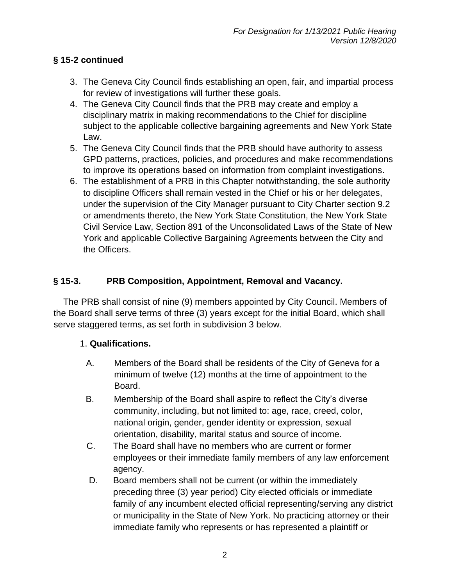# **§ 15-2 continued**

- 3. The Geneva City Council finds establishing an open, fair, and impartial process for review of investigations will further these goals.
- 4. The Geneva City Council finds that the PRB may create and employ a disciplinary matrix in making recommendations to the Chief for discipline subject to the applicable collective bargaining agreements and New York State Law.
- 5. The Geneva City Council finds that the PRB should have authority to assess GPD patterns, practices, policies, and procedures and make recommendations to improve its operations based on information from complaint investigations.
- 6. The establishment of a PRB in this Chapter notwithstanding, the sole authority to discipline Officers shall remain vested in the Chief or his or her delegates, under the supervision of the City Manager pursuant to City Charter section 9.2 or amendments thereto, the New York State Constitution, the New York State Civil Service Law, Section 891 of the Unconsolidated Laws of the State of New York and applicable Collective Bargaining Agreements between the City and the Officers.

# **§ 15-3. PRB Composition, Appointment, Removal and Vacancy.**

The PRB shall consist of nine (9) members appointed by City Council. Members of the Board shall serve terms of three (3) years except for the initial Board, which shall serve staggered terms, as set forth in subdivision 3 below.

#### 1. **Qualifications.**

- A. Members of the Board shall be residents of the City of Geneva for a minimum of twelve (12) months at the time of appointment to the Board.
- B. Membership of the Board shall aspire to reflect the City's diverse community, including, but not limited to: age, race, creed, color, national origin, gender, gender identity or expression, sexual orientation, disability, marital status and source of income.
- C. The Board shall have no members who are current or former employees or their immediate family members of any law enforcement agency.
- D. Board members shall not be current (or within the immediately preceding three (3) year period) City elected officials or immediate family of any incumbent elected official representing/serving any district or municipality in the State of New York. No practicing attorney or their immediate family who represents or has represented a plaintiff or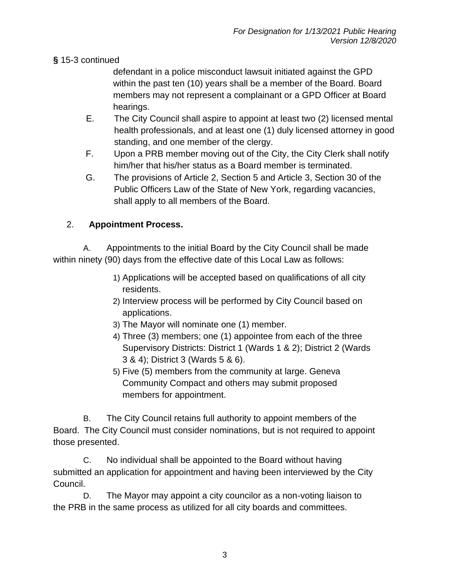#### **§** 15-3 continued

defendant in a police misconduct lawsuit initiated against the GPD within the past ten (10) years shall be a member of the Board. Board members may not represent a complainant or a GPD Officer at Board hearings.

- E. The City Council shall aspire to appoint at least two (2) licensed mental health professionals, and at least one (1) duly licensed attorney in good standing, and one member of the clergy.
- F. Upon a PRB member moving out of the City, the City Clerk shall notify him/her that his/her status as a Board member is terminated.
- G. The provisions of Article 2, Section 5 and Article 3, Section 30 of the Public Officers Law of the State of New York, regarding vacancies, shall apply to all members of the Board.

# 2. **Appointment Process.**

A. Appointments to the initial Board by the City Council shall be made within ninety (90) days from the effective date of this Local Law as follows:

- 1) Applications will be accepted based on qualifications of all city residents.
- 2) Interview process will be performed by City Council based on applications.
- 3) The Mayor will nominate one (1) member.
- 4) Three (3) members; one (1) appointee from each of the three Supervisory Districts: District 1 (Wards 1 & 2); District 2 (Wards 3 & 4); District 3 (Wards 5 & 6).
- 5) Five (5) members from the community at large. Geneva Community Compact and others may submit proposed members for appointment.

B. The City Council retains full authority to appoint members of the Board. The City Council must consider nominations, but is not required to appoint those presented.

C. No individual shall be appointed to the Board without having submitted an application for appointment and having been interviewed by the City Council.

D. The Mayor may appoint a city councilor as a non-voting liaison to the PRB in the same process as utilized for all city boards and committees.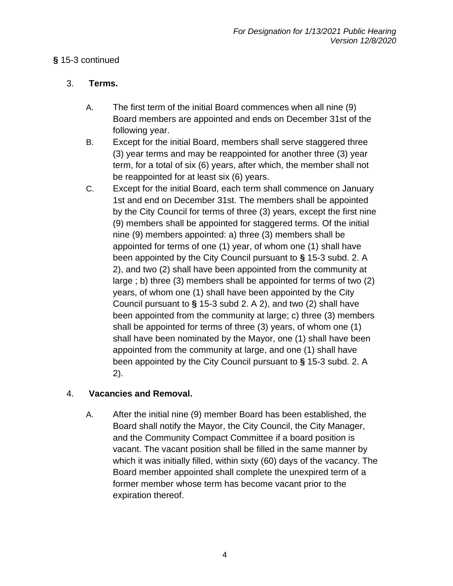#### **§** 15-3 continued

#### 3. **Terms.**

- A. The first term of the initial Board commences when all nine (9) Board members are appointed and ends on December 31st of the following year.
- B. Except for the initial Board, members shall serve staggered three (3) year terms and may be reappointed for another three (3) year term, for a total of six (6) years, after which, the member shall not be reappointed for at least six (6) years.
- C. Except for the initial Board, each term shall commence on January 1st and end on December 31st. The members shall be appointed by the City Council for terms of three (3) years, except the first nine (9) members shall be appointed for staggered terms. Of the initial nine (9) members appointed: a) three (3) members shall be appointed for terms of one (1) year, of whom one (1) shall have been appointed by the City Council pursuant to **§** 15-3 subd. 2. A 2), and two (2) shall have been appointed from the community at large ; b) three (3) members shall be appointed for terms of two (2) years, of whom one (1) shall have been appointed by the City Council pursuant to **§** 15-3 subd 2. A 2), and two (2) shall have been appointed from the community at large; c) three (3) members shall be appointed for terms of three (3) years, of whom one (1) shall have been nominated by the Mayor, one (1) shall have been appointed from the community at large, and one (1) shall have been appointed by the City Council pursuant to **§** 15-3 subd. 2. A 2).

# 4. **Vacancies and Removal.**

A. After the initial nine (9) member Board has been established, the Board shall notify the Mayor, the City Council, the City Manager, and the Community Compact Committee if a board position is vacant. The vacant position shall be filled in the same manner by which it was initially filled, within sixty (60) days of the vacancy. The Board member appointed shall complete the unexpired term of a former member whose term has become vacant prior to the expiration thereof.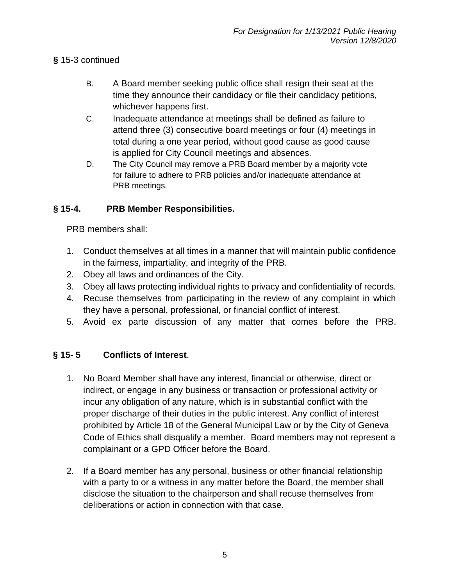#### **§** 15-3 continued

- B. A Board member seeking public office shall resign their seat at the time they announce their candidacy or file their candidacy petitions, whichever happens first.
- C. Inadequate attendance at meetings shall be defined as failure to attend three (3) consecutive board meetings or four (4) meetings in total during a one year period, without good cause as good cause is applied for City Council meetings and absences.
- D. The City Council may remove a PRB Board member by a majority vote for failure to adhere to PRB policies and/or inadequate attendance at PRB meetings.

#### **§ 15-4. PRB Member Responsibilities.**

PRB members shall:

- 1. Conduct themselves at all times in a manner that will maintain public confidence in the fairness, impartiality, and integrity of the PRB.
- 2. Obey all laws and ordinances of the City.
- 3. Obey all laws protecting individual rights to privacy and confidentiality of records.
- 4. Recuse themselves from participating in the review of any complaint in which they have a personal, professional, or financial conflict of interest.
- 5. Avoid ex parte discussion of any matter that comes before the PRB.

#### **§ 15- 5 Conflicts of Interest**.

- 1. No Board Member shall have any interest, financial or otherwise, direct or indirect, or engage in any business or transaction or professional activity or incur any obligation of any nature, which is in substantial conflict with the proper discharge of their duties in the public interest. Any conflict of interest prohibited by Article 18 of the General Municipal Law or by the City of Geneva Code of Ethics shall disqualify a member. Board members may not represent a complainant or a GPD Officer before the Board.
- 2. If a Board member has any personal, business or other financial relationship with a party to or a witness in any matter before the Board, the member shall disclose the situation to the chairperson and shall recuse themselves from deliberations or action in connection with that case.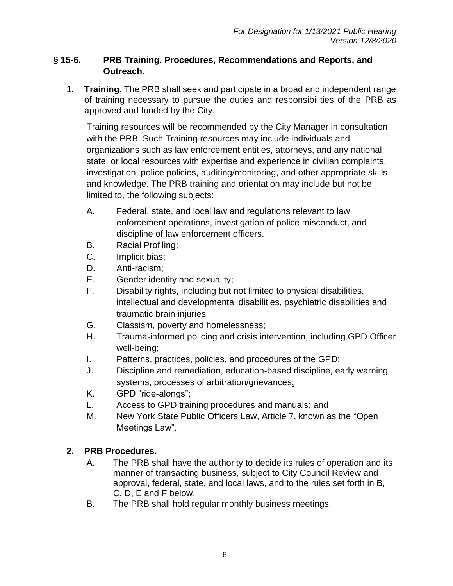#### **§ 15-6. PRB Training, Procedures, Recommendations and Reports, and Outreach.**

1. **Training.** The PRB shall seek and participate in a broad and independent range of training necessary to pursue the duties and responsibilities of the PRB as approved and funded by the City.

Training resources will be recommended by the City Manager in consultation with the PRB. Such Training resources may include individuals and organizations such as law enforcement entities, attorneys, and any national, state, or local resources with expertise and experience in civilian complaints, investigation, police policies, auditing/monitoring, and other appropriate skills and knowledge. The PRB training and orientation may include but not be limited to, the following subjects:

- A. Federal, state, and local law and regulations relevant to law enforcement operations, investigation of police misconduct, and discipline of law enforcement officers.
- B. Racial Profiling;
- C. Implicit bias;
- D. Anti-racism;
- E. Gender identity and sexuality;
- F. Disability rights, including but not limited to physical disabilities, intellectual and developmental disabilities, psychiatric disabilities and traumatic brain injuries;
- G. Classism, poverty and homelessness;
- H. Trauma-informed policing and crisis intervention, including GPD Officer well-being;
- I. Patterns, practices, policies, and procedures of the GPD;
- J. Discipline and remediation, education-based discipline, early warning systems, processes of arbitration/grievances;
- K. GPD "ride-alongs";
- L. Access to GPD training procedures and manuals; and
- M. New York State Public Officers Law, Article 7, known as the "Open Meetings Law".

# **2. PRB Procedures.**

- A. The PRB shall have the authority to decide its rules of operation and its manner of transacting business, subject to City Council Review and approval, federal, state, and local laws, and to the rules set forth in B, C, D, E and F below.
- B. The PRB shall hold regular monthly business meetings.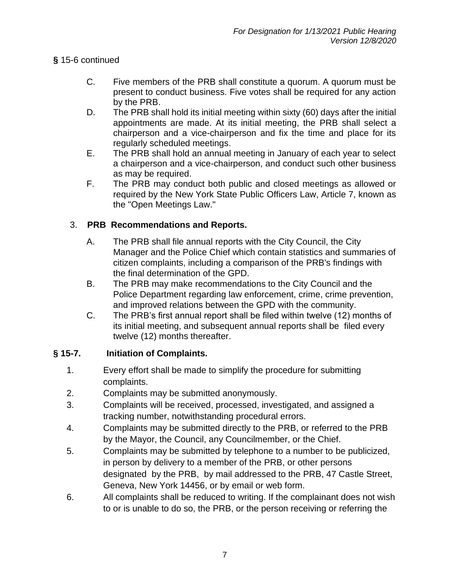#### **§** 15-6 continued

- C. Five members of the PRB shall constitute a quorum. A quorum must be present to conduct business. Five votes shall be required for any action by the PRB.
- D. The PRB shall hold its initial meeting within sixty (60) days after the initial appointments are made. At its initial meeting, the PRB shall select a chairperson and a vice-chairperson and fix the time and place for its regularly scheduled meetings.
- E. The PRB shall hold an annual meeting in January of each year to select a chairperson and a vice-chairperson, and conduct such other business as may be required.
- F. The PRB may conduct both public and closed meetings as allowed or required by the New York State Public Officers Law, Article 7, known as the "Open Meetings Law."

# 3. **PRB Recommendations and Reports.**

- A. The PRB shall file annual reports with the City Council, the City Manager and the Police Chief which contain statistics and summaries of citizen complaints, including a comparison of the PRB's findings with the final determination of the GPD.
- B. The PRB may make recommendations to the City Council and the Police Department regarding law enforcement, crime, crime prevention, and improved relations between the GPD with the community.
- C. The PRB's first annual report shall be filed within twelve (12) months of its initial meeting, and subsequent annual reports shall be filed every twelve (12) months thereafter.

# **§ 15-7. Initiation of Complaints.**

- 1. Every effort shall be made to simplify the procedure for submitting complaints.
- 2. Complaints may be submitted anonymously.
- 3. Complaints will be received, processed, investigated, and assigned a tracking number, notwithstanding procedural errors.
- 4. Complaints may be submitted directly to the PRB, or referred to the PRB by the Mayor, the Council, any Councilmember, or the Chief.
- 5. Complaints may be submitted by telephone to a number to be publicized, in person by delivery to a member of the PRB, or other persons designated by the PRB, by mail addressed to the PRB, 47 Castle Street, Geneva, New York 14456, or by email or web form.
- 6. All complaints shall be reduced to writing. If the complainant does not wish to or is unable to do so, the PRB, or the person receiving or referring the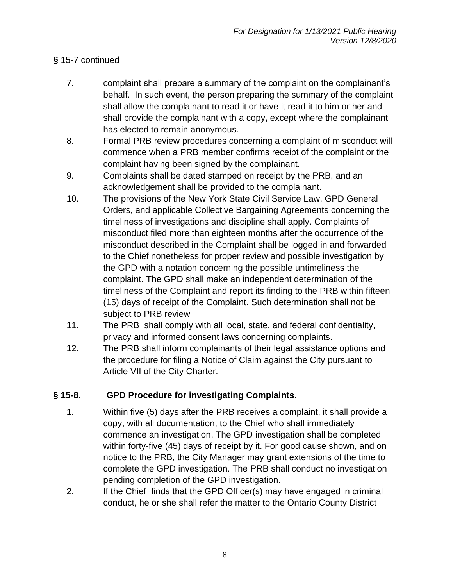# **§** 15-7 continued

- 7. complaint shall prepare a summary of the complaint on the complainant's behalf. In such event, the person preparing the summary of the complaint shall allow the complainant to read it or have it read it to him or her and shall provide the complainant with a copy**,** except where the complainant has elected to remain anonymous.
- 8. Formal PRB review procedures concerning a complaint of misconduct will commence when a PRB member confirms receipt of the complaint or the complaint having been signed by the complainant.
- 9. Complaints shall be dated stamped on receipt by the PRB, and an acknowledgement shall be provided to the complainant.
- 10. The provisions of the New York State Civil Service Law, GPD General Orders, and applicable Collective Bargaining Agreements concerning the timeliness of investigations and discipline shall apply. Complaints of misconduct filed more than eighteen months after the occurrence of the misconduct described in the Complaint shall be logged in and forwarded to the Chief nonetheless for proper review and possible investigation by the GPD with a notation concerning the possible untimeliness the complaint. The GPD shall make an independent determination of the timeliness of the Complaint and report its finding to the PRB within fifteen (15) days of receipt of the Complaint. Such determination shall not be subject to PRB review
- 11. The PRB shall comply with all local, state, and federal confidentiality, privacy and informed consent laws concerning complaints.
- 12. The PRB shall inform complainants of their legal assistance options and the procedure for filing a Notice of Claim against the City pursuant to Article VII of the City Charter.

# **§ 15-8. GPD Procedure for investigating Complaints.**

- 1. Within five (5) days after the PRB receives a complaint, it shall provide a copy, with all documentation, to the Chief who shall immediately commence an investigation. The GPD investigation shall be completed within forty-five (45) days of receipt by it. For good cause shown, and on notice to the PRB, the City Manager may grant extensions of the time to complete the GPD investigation. The PRB shall conduct no investigation pending completion of the GPD investigation.
- 2. If the Chief finds that the GPD Officer(s) may have engaged in criminal conduct, he or she shall refer the matter to the Ontario County District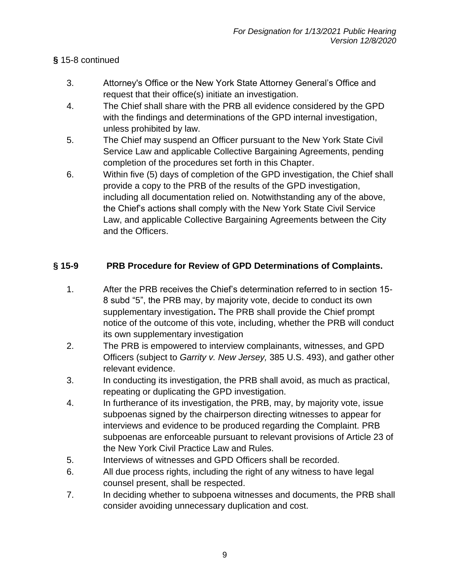# **§** 15-8 continued

- 3. Attorney's Office or the New York State Attorney General's Office and request that their office(s) initiate an investigation.
- 4. The Chief shall share with the PRB all evidence considered by the GPD with the findings and determinations of the GPD internal investigation, unless prohibited by law.
- 5. The Chief may suspend an Officer pursuant to the New York State Civil Service Law and applicable Collective Bargaining Agreements, pending completion of the procedures set forth in this Chapter.
- 6. Within five (5) days of completion of the GPD investigation, the Chief shall provide a copy to the PRB of the results of the GPD investigation, including all documentation relied on. Notwithstanding any of the above, the Chief's actions shall comply with the New York State Civil Service Law, and applicable Collective Bargaining Agreements between the City and the Officers.

# **§ 15-9 PRB Procedure for Review of GPD Determinations of Complaints.**

- 1. After the PRB receives the Chief's determination referred to in section 15- 8 subd "5", the PRB may, by majority vote, decide to conduct its own supplementary investigation**.** The PRB shall provide the Chief prompt notice of the outcome of this vote, including, whether the PRB will conduct its own supplementary investigation
- 2. The PRB is empowered to interview complainants, witnesses, and GPD Officers (subject to *Garrity v. New Jersey,* 385 U.S. 493), and gather other relevant evidence.
- 3. In conducting its investigation, the PRB shall avoid, as much as practical, repeating or duplicating the GPD investigation.
- 4. In furtherance of its investigation, the PRB, may, by majority vote, issue subpoenas signed by the chairperson directing witnesses to appear for interviews and evidence to be produced regarding the Complaint. PRB subpoenas are enforceable pursuant to relevant provisions of Article 23 of the New York Civil Practice Law and Rules.
- 5. Interviews of witnesses and GPD Officers shall be recorded.
- 6. All due process rights, including the right of any witness to have legal counsel present, shall be respected.
- 7. In deciding whether to subpoena witnesses and documents, the PRB shall consider avoiding unnecessary duplication and cost.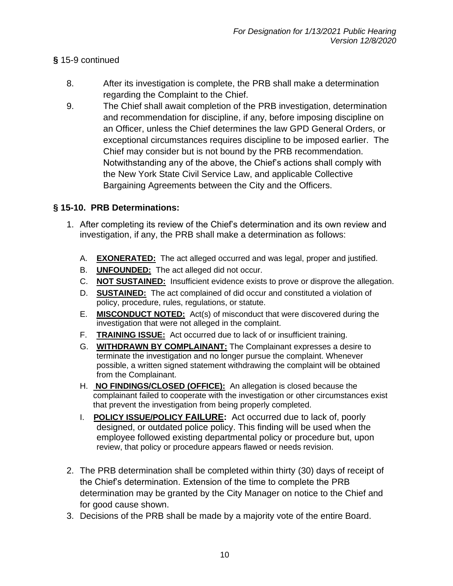#### **§** 15-9 continued

- 8. After its investigation is complete, the PRB shall make a determination regarding the Complaint to the Chief.
- 9. The Chief shall await completion of the PRB investigation, determination and recommendation for discipline, if any, before imposing discipline on an Officer, unless the Chief determines the law GPD General Orders, or exceptional circumstances requires discipline to be imposed earlier. The Chief may consider but is not bound by the PRB recommendation. Notwithstanding any of the above, the Chief's actions shall comply with the New York State Civil Service Law, and applicable Collective Bargaining Agreements between the City and the Officers.

#### **§ 15-10. PRB Determinations:**

- 1. After completing its review of the Chief's determination and its own review and investigation, if any, the PRB shall make a determination as follows:
	- A. **EXONERATED:** The act alleged occurred and was legal, proper and justified.
	- B. **UNFOUNDED:** The act alleged did not occur.
	- C. **NOT SUSTAINED:** Insufficient evidence exists to prove or disprove the allegation.
	- D. **SUSTAINED:** The act complained of did occur and constituted a violation of policy, procedure, rules, regulations, or statute.
	- E. **MISCONDUCT NOTED:** Act(s) of misconduct that were discovered during the investigation that were not alleged in the complaint.
	- F. **TRAINING ISSUE:** Act occurred due to lack of or insufficient training.
	- G. **WITHDRAWN BY COMPLAINANT:** The Complainant expresses a desire to terminate the investigation and no longer pursue the complaint. Whenever possible, a written signed statement withdrawing the complaint will be obtained from the Complainant.
	- H. **NO FINDINGS/CLOSED (OFFICE):** An allegation is closed because the complainant failed to cooperate with the investigation or other circumstances exist that prevent the investigation from being properly completed.
	- I. **POLICY ISSUE/POLICY FAILURE:** Act occurred due to lack of, poorly designed, or outdated police policy. This finding will be used when the employee followed existing departmental policy or procedure but, upon review, that policy or procedure appears flawed or needs revision.
- 2. The PRB determination shall be completed within thirty (30) days of receipt of the Chief's determination. Extension of the time to complete the PRB determination may be granted by the City Manager on notice to the Chief and for good cause shown.
- 3. Decisions of the PRB shall be made by a majority vote of the entire Board.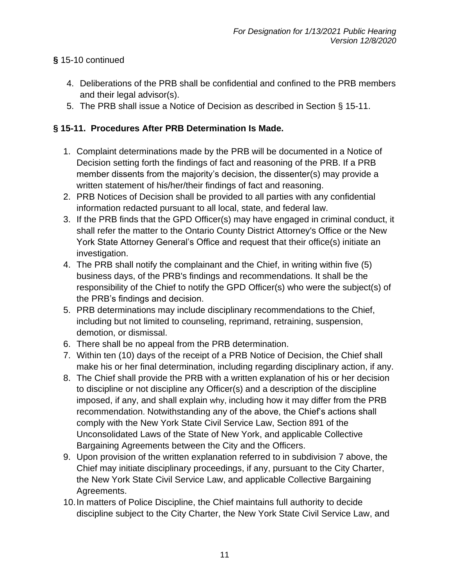# **§** 15-10 continued

- 4. Deliberations of the PRB shall be confidential and confined to the PRB members and their legal advisor(s).
- 5. The PRB shall issue a Notice of Decision as described in Section § 15-11.

# **§ 15-11. Procedures After PRB Determination Is Made.**

- 1. Complaint determinations made by the PRB will be documented in a Notice of Decision setting forth the findings of fact and reasoning of the PRB. If a PRB member dissents from the majority's decision, the dissenter(s) may provide a written statement of his/her/their findings of fact and reasoning.
- 2. PRB Notices of Decision shall be provided to all parties with any confidential information redacted pursuant to all local, state, and federal law.
- 3. If the PRB finds that the GPD Officer(s) may have engaged in criminal conduct, it shall refer the matter to the Ontario County District Attorney's Office or the New York State Attorney General's Office and request that their office(s) initiate an investigation.
- 4. The PRB shall notify the complainant and the Chief, in writing within five (5) business days, of the PRB's findings and recommendations. It shall be the responsibility of the Chief to notify the GPD Officer(s) who were the subject(s) of the PRB's findings and decision.
- 5. PRB determinations may include disciplinary recommendations to the Chief, including but not limited to counseling, reprimand, retraining, suspension, demotion, or dismissal.
- 6. There shall be no appeal from the PRB determination.
- 7. Within ten (10) days of the receipt of a PRB Notice of Decision, the Chief shall make his or her final determination, including regarding disciplinary action, if any.
- 8. The Chief shall provide the PRB with a written explanation of his or her decision to discipline or not discipline any Officer(s) and a description of the discipline imposed, if any, and shall explain why, including how it may differ from the PRB recommendation. Notwithstanding any of the above, the Chief's actions shall comply with the New York State Civil Service Law, Section 891 of the Unconsolidated Laws of the State of New York, and applicable Collective Bargaining Agreements between the City and the Officers.
- 9. Upon provision of the written explanation referred to in subdivision 7 above, the Chief may initiate disciplinary proceedings, if any, pursuant to the City Charter, the New York State Civil Service Law, and applicable Collective Bargaining Agreements.
- 10.In matters of Police Discipline, the Chief maintains full authority to decide discipline subject to the City Charter, the New York State Civil Service Law, and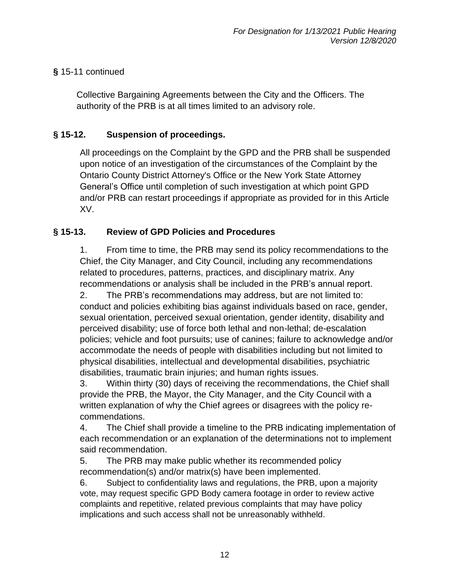## **§** 15-11 continued

Collective Bargaining Agreements between the City and the Officers. The authority of the PRB is at all times limited to an advisory role.

# **§ 15-12. Suspension of proceedings.**

All proceedings on the Complaint by the GPD and the PRB shall be suspended upon notice of an investigation of the circumstances of the Complaint by the Ontario County District Attorney's Office or the New York State Attorney General's Office until completion of such investigation at which point GPD and/or PRB can restart proceedings if appropriate as provided for in this Article XV.

#### **§ 15-13. Review of GPD Policies and Procedures**

1. From time to time, the PRB may send its policy recommendations to the Chief, the City Manager, and City Council, including any recommendations related to procedures, patterns, practices, and disciplinary matrix. Any recommendations or analysis shall be included in the PRB's annual report.

2. The PRB's recommendations may address, but are not limited to: conduct and policies exhibiting bias against individuals based on race, gender, sexual orientation, perceived sexual orientation, gender identity, disability and perceived disability; use of force both lethal and non-lethal; de-escalation policies; vehicle and foot pursuits; use of canines; failure to acknowledge and/or accommodate the needs of people with disabilities including but not limited to physical disabilities, intellectual and developmental disabilities, psychiatric disabilities, traumatic brain injuries; and human rights issues.

3. Within thirty (30) days of receiving the recommendations, the Chief shall provide the PRB, the Mayor, the City Manager, and the City Council with a written explanation of why the Chief agrees or disagrees with the policy recommendations.

4. The Chief shall provide a timeline to the PRB indicating implementation of each recommendation or an explanation of the determinations not to implement said recommendation.

5. The PRB may make public whether its recommended policy recommendation(s) and/or matrix(s) have been implemented.

6. Subject to confidentiality laws and regulations, the PRB, upon a majority vote, may request specific GPD Body camera footage in order to review active complaints and repetitive, related previous complaints that may have policy implications and such access shall not be unreasonably withheld.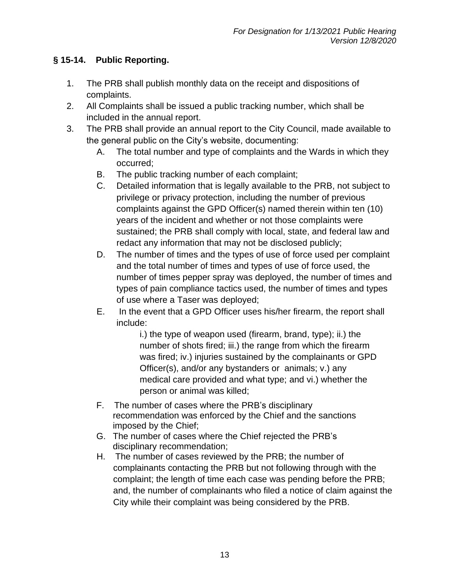# **§ 15-14. Public Reporting.**

- 1. The PRB shall publish monthly data on the receipt and dispositions of complaints.
- 2. All Complaints shall be issued a public tracking number, which shall be included in the annual report.
- 3. The PRB shall provide an annual report to the City Council, made available to the general public on the City's website, documenting:
	- A. The total number and type of complaints and the Wards in which they occurred;
	- B. The public tracking number of each complaint;
	- C. Detailed information that is legally available to the PRB, not subject to privilege or privacy protection, including the number of previous complaints against the GPD Officer(s) named therein within ten (10) years of the incident and whether or not those complaints were sustained; the PRB shall comply with local, state, and federal law and redact any information that may not be disclosed publicly;
	- D. The number of times and the types of use of force used per complaint and the total number of times and types of use of force used, the number of times pepper spray was deployed, the number of times and types of pain compliance tactics used, the number of times and types of use where a Taser was deployed;
	- E. In the event that a GPD Officer uses his/her firearm, the report shall include:

i.) the type of weapon used (firearm, brand, type); ii.) the number of shots fired; iii.) the range from which the firearm was fired; iv.) injuries sustained by the complainants or GPD Officer(s), and/or any bystanders or animals; v.) any medical care provided and what type; and vi.) whether the person or animal was killed;

- F. The number of cases where the PRB's disciplinary recommendation was enforced by the Chief and the sanctions imposed by the Chief;
- G. The number of cases where the Chief rejected the PRB's disciplinary recommendation;
- H. The number of cases reviewed by the PRB; the number of complainants contacting the PRB but not following through with the complaint; the length of time each case was pending before the PRB; and, the number of complainants who filed a notice of claim against the City while their complaint was being considered by the PRB.